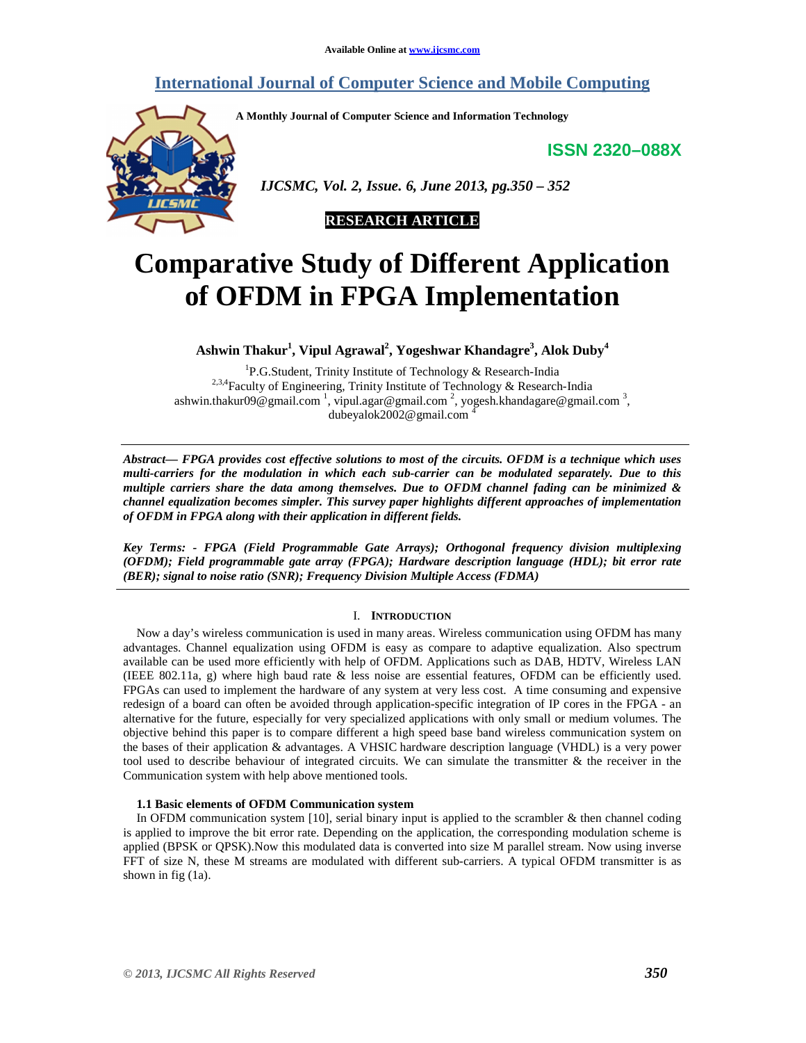# **International Journal of Computer Science and Mobile Computing**

**A Monthly Journal of Computer Science and Information Technology** 

**ISSN 2320–088X**



 *IJCSMC, Vol. 2, Issue. 6, June 2013, pg.350 – 352* 



# **Comparative Study of Different Application of OFDM in FPGA Implementation**

**Ashwin Thakur<sup>1</sup> , Vipul Agrawal<sup>2</sup> , Yogeshwar Khandagre<sup>3</sup> , Alok Duby<sup>4</sup>**

<sup>1</sup>P.G.Student, Trinity Institute of Technology & Research-India <sup>2,3,4</sup>Faculty of Engineering, Trinity Institute of Technology & Research-India ashwin.thakur09@gmail.com  $\frac{1}{2}$ , vipul.agar@gmail.com  $\frac{2}{3}$ , yogesh.khandagare@gmail.com  $\frac{3}{2}$ , dubeyalok2002@gmail.com <sup>4</sup>

*Abstract— FPGA provides cost effective solutions to most of the circuits. OFDM is a technique which uses multi-carriers for the modulation in which each sub-carrier can be modulated separately. Due to this multiple carriers share the data among themselves. Due to OFDM channel fading can be minimized & channel equalization becomes simpler. This survey paper highlights different approaches of implementation of OFDM in FPGA along with their application in different fields.* 

*Key Terms: - FPGA (Field Programmable Gate Arrays); Orthogonal frequency division multiplexing (OFDM); Field programmable gate array (FPGA); Hardware description language (HDL); bit error rate (BER); signal to noise ratio (SNR); Frequency Division Multiple Access (FDMA)* 

## I. **INTRODUCTION**

Now a day's wireless communication is used in many areas. Wireless communication using OFDM has many advantages. Channel equalization using OFDM is easy as compare to adaptive equalization. Also spectrum available can be used more efficiently with help of OFDM. Applications such as DAB, HDTV, Wireless LAN (IEEE 802.11a, g) where high baud rate  $\&$  less noise are essential features, OFDM can be efficiently used. FPGAs can used to implement the hardware of any system at very less cost. A time consuming and expensive redesign of a board can often be avoided through application-specific integration of IP cores in the FPGA - an alternative for the future, especially for very specialized applications with only small or medium volumes. The objective behind this paper is to compare different a high speed base band wireless communication system on the bases of their application & advantages. A VHSIC hardware description language (VHDL) is a very power tool used to describe behaviour of integrated circuits. We can simulate the transmitter & the receiver in the Communication system with help above mentioned tools.

### **1.1 Basic elements of OFDM Communication system**

In OFDM communication system  $[10]$ , serial binary input is applied to the scrambler  $\&$  then channel coding is applied to improve the bit error rate. Depending on the application, the corresponding modulation scheme is applied (BPSK or QPSK).Now this modulated data is converted into size M parallel stream. Now using inverse FFT of size N, these M streams are modulated with different sub-carriers. A typical OFDM transmitter is as shown in fig (1a).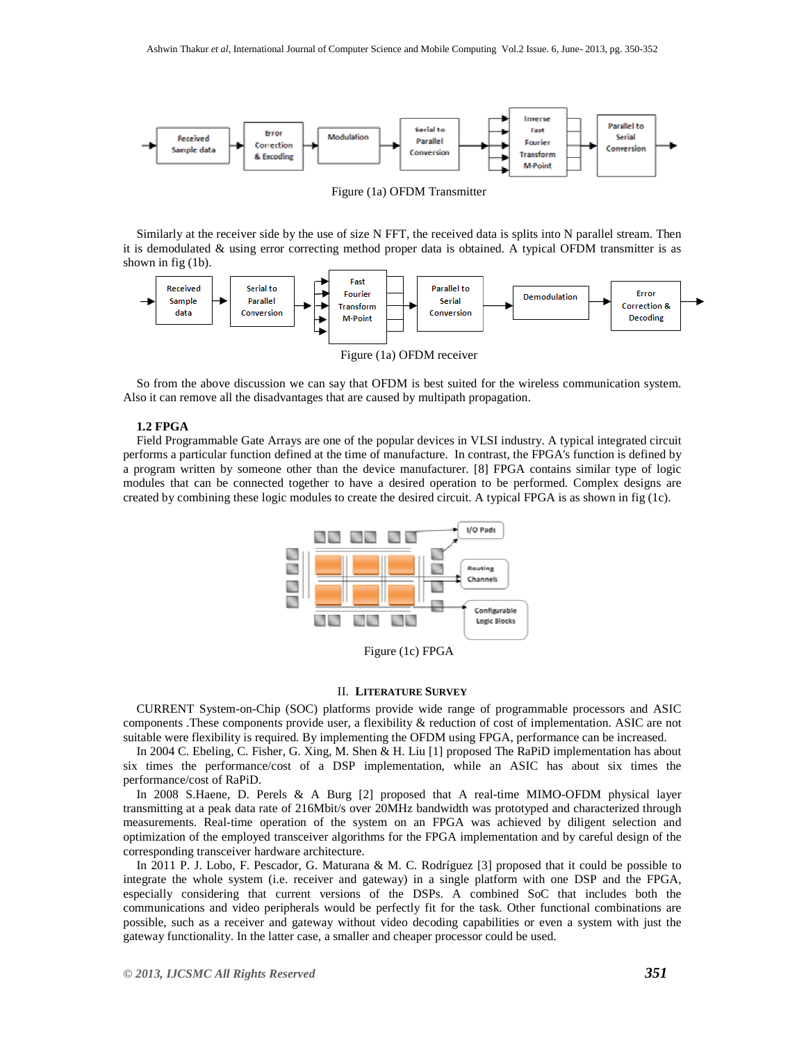

Figure (1a) OFDM Transmitter

Similarly at the receiver side by the use of size N FFT, the received data is splits into N parallel stream. Then it is demodulated & using error correcting method proper data is obtained. A typical OFDM transmitter is as shown in fig (1b).



So from the above discussion we can say that OFDM is best suited for the wireless communication system. Also it can remove all the disadvantages that are caused by multipath propagation.

#### **1.2 FPGA**

Field Programmable Gate Arrays are one of the popular devices in VLSI industry. A typical integrated circuit performs a particular function defined at the time of manufacture. In contrast, the FPGA's function is defined by a program written by someone other than the device manufacturer. [8] FPGA contains similar type of logic modules that can be connected together to have a desired operation to be performed. Complex designs are created by combining these logic modules to create the desired circuit. A typical FPGA is as shown in fig (1c).



Figure (1c) FPGA

#### II. **LITERATURE SURVEY**

CURRENT System-on-Chip (SOC) platforms provide wide range of programmable processors and ASIC components .These components provide user, a flexibility & reduction of cost of implementation. ASIC are not suitable were flexibility is required. By implementing the OFDM using FPGA, performance can be increased.

In 2004 C. Ebeling, C. Fisher, G. Xing, M. Shen & H. Liu [1] proposed The RaPiD implementation has about six times the performance/cost of a DSP implementation, while an ASIC has about six times the performance/cost of RaPiD.

In 2008 S.Haene, D. Perels & A Burg [2] proposed that A real-time MIMO-OFDM physical layer transmitting at a peak data rate of 216Mbit/s over 20MHz bandwidth was prototyped and characterized through measurements. Real-time operation of the system on an FPGA was achieved by diligent selection and optimization of the employed transceiver algorithms for the FPGA implementation and by careful design of the corresponding transceiver hardware architecture.

In 2011 P. J. Lobo, F. Pescador, G. Maturana & M. C. Rodríguez [3] proposed that it could be possible to integrate the whole system (i.e. receiver and gateway) in a single platform with one DSP and the FPGA, especially considering that current versions of the DSPs. A combined SoC that includes both the communications and video peripherals would be perfectly fit for the task. Other functional combinations are possible, such as a receiver and gateway without video decoding capabilities or even a system with just the gateway functionality. In the latter case, a smaller and cheaper processor could be used.